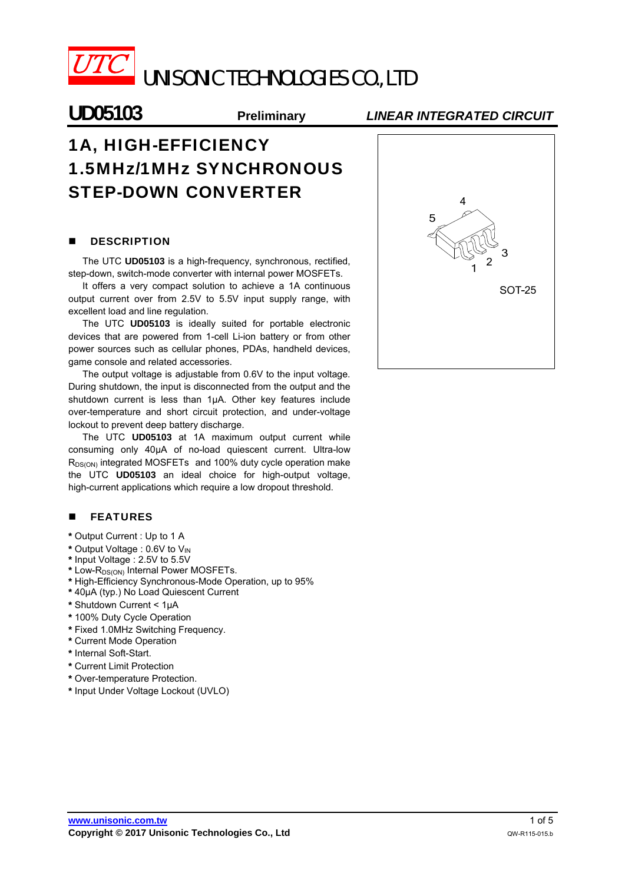

UNISONIC TECHNOLOGIES CO., LTD

# **UD05103 Preliminary** *LINEAR INTEGRATED CIRCUIT*

# 1A, HIGH-EFFICIENCY 1.5MHz/1MHz SYNCHRONOUS STEP-DOWN CONVERTER

#### **DESCRIPTION**

The UTC **UD05103** is a high-frequency, synchronous, rectified, step-down, switch-mode converter with internal power MOSFETs.

It offers a very compact solution to achieve a 1A continuous output current over from 2.5V to 5.5V input supply range, with excellent load and line regulation.

The UTC **UD05103** is ideally suited for portable electronic devices that are powered from 1-cell Li-ion battery or from other power sources such as cellular phones, PDAs, handheld devices, game console and related accessories.

The output voltage is adjustable from 0.6V to the input voltage. During shutdown, the input is disconnected from the output and the shutdown current is less than 1uA. Other key features include over-temperature and short circuit protection, and under-voltage lockout to prevent deep battery discharge.

The UTC **UD05103** at 1A maximum output current while consuming only 40μA of no-load quiescent current. Ultra-low R<sub>DS(ON)</sub> integrated MOSFETs and 100% duty cycle operation make the UTC **UD05103** an ideal choice for high-output voltage, high-current applications which require a low dropout threshold.

### **FEATURES**

- **\*** Output Current : Up to 1 A
- **\*** Output Voltage : 0.6V to VIN
- **\*** Input Voltage : 2.5V to 5.5V
- **\*** Low-RDS(ON) Internal Power MOSFETs.
- **\*** High-Efficiency Synchronous-Mode Operation, up to 95%
- **\*** 40μA (typ.) No Load Quiescent Current
- **\*** Shutdown Current < 1μA
- **\*** 100% Duty Cycle Operation
- **\*** Fixed 1.0MHz Switching Frequency.
- **\*** Current Mode Operation
- **\*** Internal Soft-Start.
- **\*** Current Limit Protection
- **\*** Over-temperature Protection.
- **\*** Input Under Voltage Lockout (UVLO)

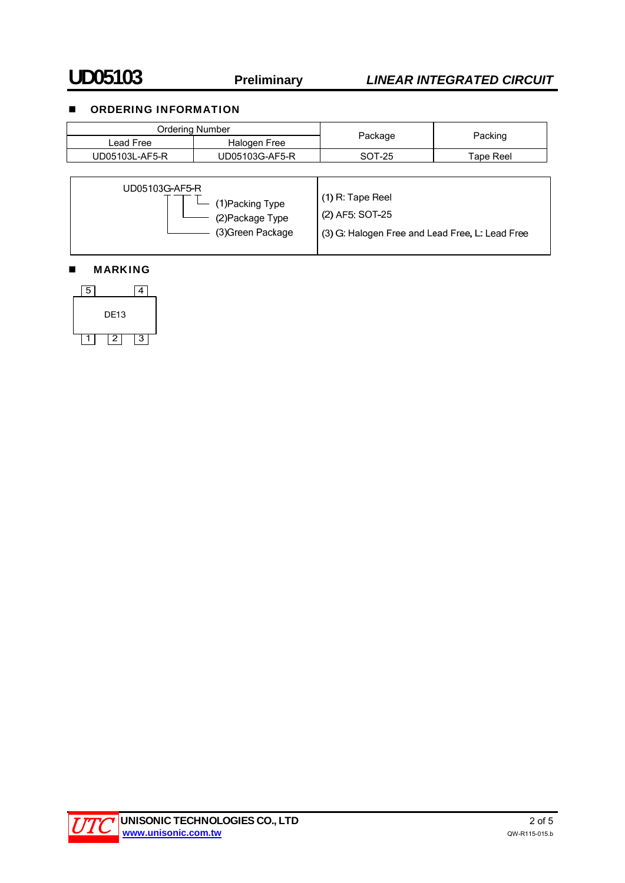# **UD05103 Preliminary** *LINEAR INTEGRATED CIRCUIT*

## **DE ORDERING INFORMATION**

| Ordering Number |                |         |           |  |
|-----------------|----------------|---------|-----------|--|
| Lead Free       | Halogen Free   | Package | Packing   |  |
| UD05103L-AF5-R  | UD05103G-AF5-R | SOT-25  | Tape Reel |  |



#### **MARKING**



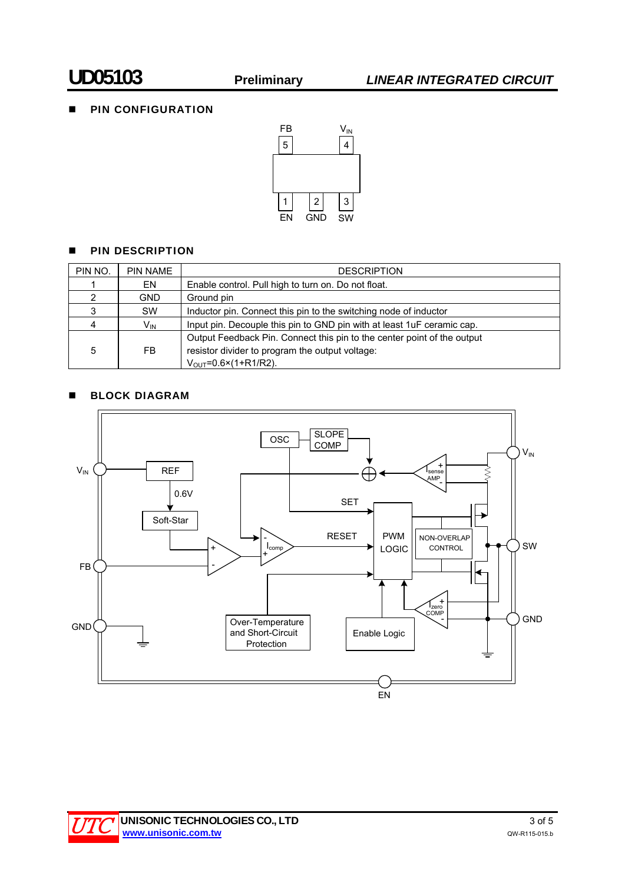# **PIN CONFIGURATION**



# **PIN DESCRIPTION**

| PIN NO. | <b>PIN NAME</b> | <b>DESCRIPTION</b>                                                                                                                                                 |
|---------|-----------------|--------------------------------------------------------------------------------------------------------------------------------------------------------------------|
|         | EN              | Enable control. Pull high to turn on. Do not float.                                                                                                                |
|         | <b>GND</b>      | Ground pin                                                                                                                                                         |
|         | <b>SW</b>       | Inductor pin. Connect this pin to the switching node of inductor                                                                                                   |
| 4       | V <sub>IN</sub> | Input pin. Decouple this pin to GND pin with at least 1uF ceramic cap.                                                                                             |
| 5       | FB.             | Output Feedback Pin. Connect this pin to the center point of the output<br>resistor divider to program the output voltage:<br>$V_{OUT} = 0.6 \times (1 + R1/R2)$ . |

## **BLOCK DIAGRAM**



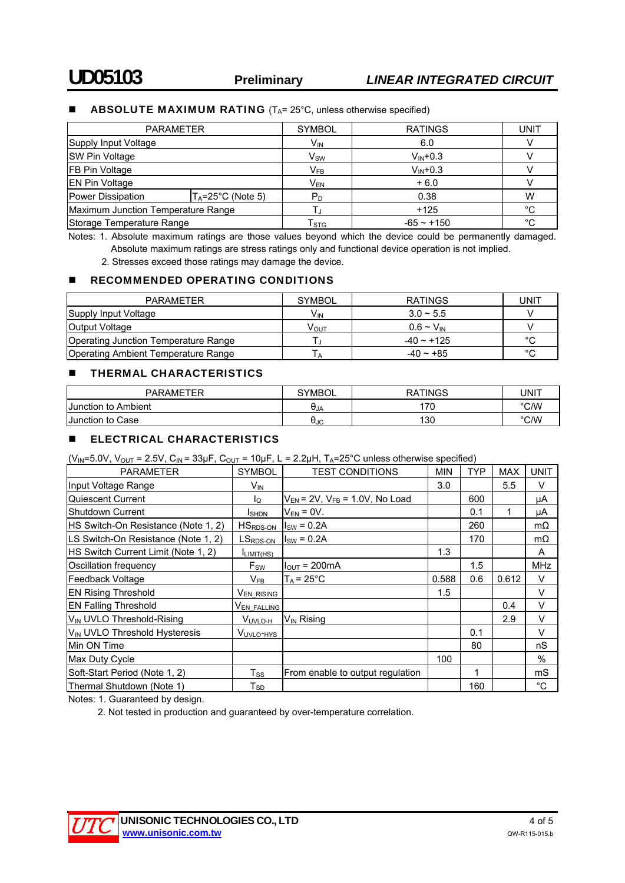#### **ABSOLUTE MAXIMUM RATING** ( $T_A = 25^\circ$ C, unless otherwise specified)

| <b>PARAMETER</b>                   |                               | <b>SYMBOL</b>            | <b>RATINGS</b>       | UNIT        |
|------------------------------------|-------------------------------|--------------------------|----------------------|-------------|
| Supply Input Voltage               |                               | $V_{IN}$                 | 6.0                  |             |
| SW Pin Voltage                     |                               | $\mathsf{V}_\mathsf{SW}$ | $V_{\text{IN}}$ +0.3 |             |
| <b>FB Pin Voltage</b>              |                               | $V_{FB}$                 | $V_{IN}$ +0.3        |             |
| <b>EN Pin Voltage</b>              |                               | $V_{EN}$                 | $+6.0$               |             |
| Power Dissipation                  | $T_A = 25^{\circ}$ C (Note 5) | $P_D$                    | 0.38                 | W           |
| Maximum Junction Temperature Range |                               | Т.                       | $+125$               | $^{\circ}C$ |
| Storage Temperature Range          |                               | T <sub>STG</sub>         | $-65 - +150$         | $^{\circ}C$ |

Notes: 1. Absolute maximum ratings are those values beyond which the device could be permanently damaged. Absolute maximum ratings are stress ratings only and functional device operation is not implied.

2. Stresses exceed those ratings may damage the device.

#### **RECOMMENDED OPERATING CONDITIONS**

| <b>PARAMETER</b>                     | SYMBOL                  | <b>RATINGS</b>    | UNIT   |
|--------------------------------------|-------------------------|-------------------|--------|
| Supply Input Voltage                 | Vın                     | $3.0 \sim 5.5$    |        |
| Output Voltage                       | <b>V</b> <sub>OUT</sub> | $0.6 \sim V_{IN}$ |        |
| Operating Junction Temperature Range |                         | $-40 \sim +125$   | °С     |
| Operating Ambient Temperature Range  | A                       | $-40 - +85$       | $\sim$ |

## **THERMAL CHARACTERISTICS**

| <b>PARAMETER</b>    | <b>SYMBOL</b> | <b>RATINGS</b> | UNIT |
|---------------------|---------------|----------------|------|
| Junction to Ambient | UJA           | 170            | °C/W |
| Junction to Case    | AJC           | 130            | °C/W |

#### **ELECTRICAL CHARACTERISTICS**

 $(V_{IN} = 5.0V, V_{OUT} = 2.5V, C_{IN} = 33\mu F, C_{OUT} = 10\mu F, L = 2.2\mu H, T_A = 25^{\circ}C$  unless otherwise specified)

| <b>PARAMETER</b>                          | <b>SYMBOL</b>           | <b>TEST CONDITIONS</b>                  | <b>MIN</b> | <b>TYP</b> | <b>MAX</b> | <b>UNIT</b> |
|-------------------------------------------|-------------------------|-----------------------------------------|------------|------------|------------|-------------|
| Input Voltage Range                       | $V_{IN}$                |                                         | 3.0        |            | 5.5        | V           |
| <b>Quiescent Current</b>                  | l <sub>Q</sub>          | $V_{EN}$ = 2V, $V_{FB}$ = 1.0V, No Load |            | 600        |            | μA          |
| Shutdown Current                          | <b>I</b> SHDN           | $V_{EN} = 0V$ .                         |            | 0.1        | 1          | μA          |
| HS Switch-On Resistance (Note 1, 2)       | $HSRDS-ON$              | $ISW = 0.2A$                            |            | 260        |            | $m\Omega$   |
| LS Switch-On Resistance (Note 1, 2)       | LS <sub>RDS-ON</sub>    | $I_{SW} = 0.2A$                         |            | 170        |            | $m\Omega$   |
| HS Switch Current Limit (Note 1, 2)       | I <sub>LIMIT(HS)</sub>  |                                         | 1.3        |            |            | A           |
| Oscillation frequency                     | $F_{\text{SW}}$         | $I_{\text{OUT}} = 200 \text{mA}$        |            | 1.5        |            | <b>MHz</b>  |
| Feedback Voltage                          | $V_{FB}$                | $T_A = 25^{\circ}C$                     | 0.588      | 0.6        | 0.612      | V           |
| <b>EN Rising Threshold</b>                | V <sub>EN</sub> RISING  |                                         | 1.5        |            |            | V           |
| <b>EN Falling Threshold</b>               | V <sub>EN_FALLING</sub> |                                         |            |            | 0.4        | V           |
| V <sub>IN</sub> UVLO Threshold-Rising     | V <sub>UVLO-H</sub>     | V <sub>IN</sub> Rising                  |            |            | 2.9        | V           |
| V <sub>IN</sub> UVLO Threshold Hysteresis | V <sub>UVLO-HYS</sub>   |                                         |            | 0.1        |            | V           |
| Min ON Time                               |                         |                                         |            | 80         |            | nS          |
| Max Duty Cycle                            |                         |                                         | 100        |            |            | $\%$        |
| Soft-Start Period (Note 1, 2)             | $T_{SS}$                | From enable to output regulation        |            | 1          |            | mS          |
| Thermal Shutdown (Note 1)                 | $T_{SD}$                |                                         |            | 160        |            | °C          |

Notes: 1. Guaranteed by design.

2. Not tested in production and guaranteed by over-temperature correlation.